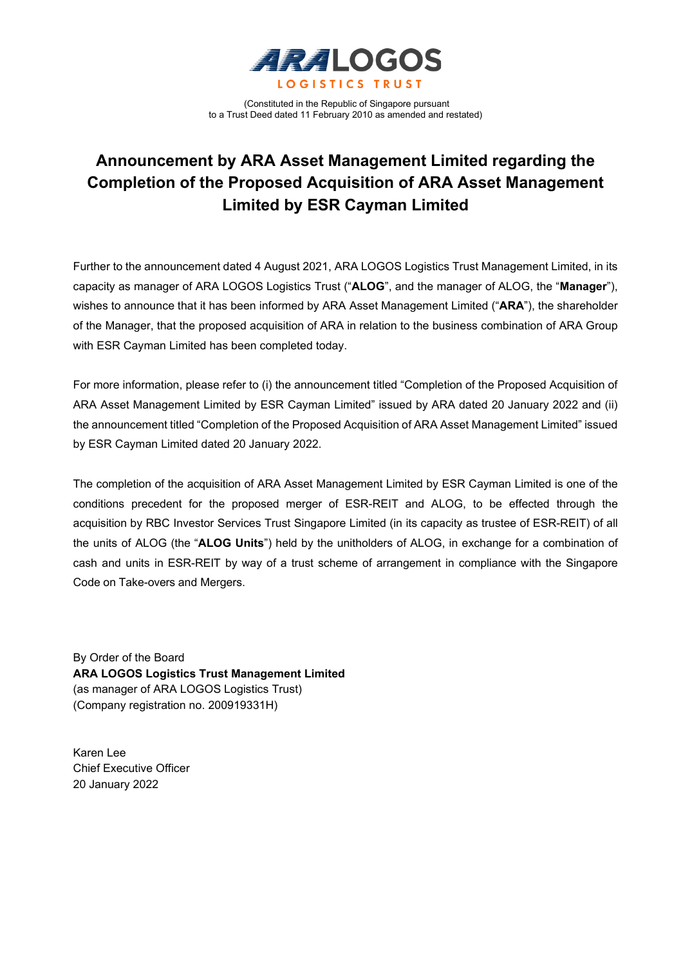

(Constituted in the Republic of Singapore pursuant to a Trust Deed dated 11 February 2010 as amended and restated)

# **Announcement by ARA Asset Management Limited regarding the Completion of the Proposed Acquisition of ARA Asset Management Limited by ESR Cayman Limited**

Further to the announcement dated 4 August 2021, ARA LOGOS Logistics Trust Management Limited, in its capacity as manager of ARA LOGOS Logistics Trust ("**ALOG**", and the manager of ALOG, the "**Manager**"), wishes to announce that it has been informed by ARA Asset Management Limited ("**ARA**"), the shareholder of the Manager, that the proposed acquisition of ARA in relation to the business combination of ARA Group with ESR Cayman Limited has been completed today.

For more information, please refer to (i) the announcement titled "Completion of the Proposed Acquisition of ARA Asset Management Limited by ESR Cayman Limited" issued by ARA dated 20 January 2022 and (ii) the announcement titled "Completion of the Proposed Acquisition of ARA Asset Management Limited" issued by ESR Cayman Limited dated 20 January 2022.

The completion of the acquisition of ARA Asset Management Limited by ESR Cayman Limited is one of the conditions precedent for the proposed merger of ESR-REIT and ALOG, to be effected through the acquisition by RBC Investor Services Trust Singapore Limited (in its capacity as trustee of ESR-REIT) of all the units of ALOG (the "**ALOG Units**") held by the unitholders of ALOG, in exchange for a combination of cash and units in ESR-REIT by way of a trust scheme of arrangement in compliance with the Singapore Code on Take-overs and Mergers.

By Order of the Board **ARA LOGOS Logistics Trust Management Limited** (as manager of ARA LOGOS Logistics Trust) (Company registration no. 200919331H)

Karen Lee Chief Executive Officer 20 January 2022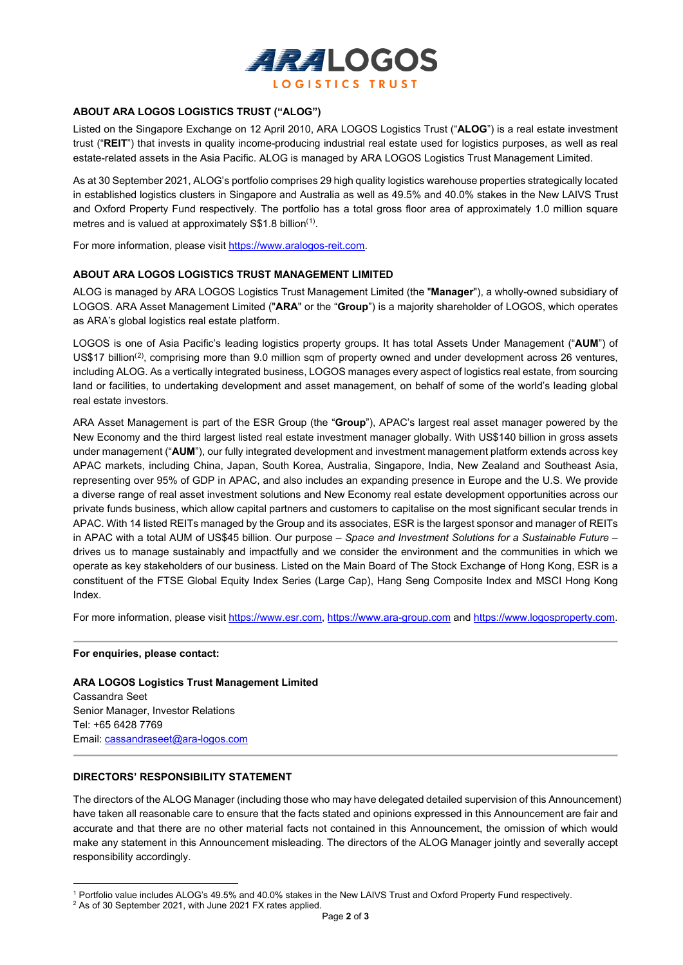

# **ABOUT ARA LOGOS LOGISTICS TRUST ("ALOG")**

Listed on the Singapore Exchange on 12 April 2010, ARA LOGOS Logistics Trust ("**ALOG**") is a real estate investment trust ("**REIT**") that invests in quality income-producing industrial real estate used for logistics purposes, as well as real estate-related assets in the Asia Pacific. ALOG is managed by ARA LOGOS Logistics Trust Management Limited.

As at 30 September 2021, ALOG's portfolio comprises 29 high quality logistics warehouse properties strategically located in established logistics clusters in Singapore and Australia as well as 49.5% and 40.0% stakes in the New LAIVS Trust and Oxford Property Fund respectively. The portfolio has a total gross floor area of approximately 1.0 million square metres and is valued at approximately S\$1.8 billion $(1)$  $(1)$ .

For more information, please visit https://www.aralogos-reit.com.

### **ABOUT ARA LOGOS LOGISTICS TRUST MANAGEMENT LIMITED**

ALOG is managed by ARA LOGOS Logistics Trust Management Limited (the "**Manager**"), a wholly-owned subsidiary of LOGOS. ARA Asset Management Limited ("**ARA**" or the "**Group**") is a majority shareholder of LOGOS, which operates as ARA's global logistics real estate platform.

LOGOS is one of Asia Pacific's leading logistics property groups. It has total Assets Under Management ("**AUM**") of US\$17 billion<sup>([2](#page-1-1))</sup>, comprising more than 9.0 million sqm of property owned and under development across 26 ventures, including ALOG. As a vertically integrated business, LOGOS manages every aspect of logistics real estate, from sourcing land or facilities, to undertaking development and asset management, on behalf of some of the world's leading global real estate investors.

ARA Asset Management is part of the ESR Group (the "**Group**"), APAC's largest real asset manager powered by the New Economy and the third largest listed real estate investment manager globally. With US\$140 billion in gross assets under management ("**AUM**"), our fully integrated development and investment management platform extends across key APAC markets, including China, Japan, South Korea, Australia, Singapore, India, New Zealand and Southeast Asia, representing over 95% of GDP in APAC, and also includes an expanding presence in Europe and the U.S. We provide a diverse range of real asset investment solutions and New Economy real estate development opportunities across our private funds business, which allow capital partners and customers to capitalise on the most significant secular trends in APAC. With 14 listed REITs managed by the Group and its associates, ESR is the largest sponsor and manager of REITs in APAC with a total AUM of US\$45 billion. Our purpose – *Space and Investment Solutions for a Sustainable Future* – drives us to manage sustainably and impactfully and we consider the environment and the communities in which we operate as key stakeholders of our business. Listed on the Main Board of The Stock Exchange of Hong Kong, ESR is a constituent of the FTSE Global Equity Index Series (Large Cap), Hang Seng Composite Index and MSCI Hong Kong Index.

For more information, please visit [https://www.esr.com,](https://www.esr.com/) [https://www.ara-group.com](https://www.ara-group.com/) and [https://www.logosproperty.com.](https://www.logosproperty.com/)

#### **For enquiries, please contact:**

**ARA LOGOS Logistics Trust Management Limited** Cassandra Seet Senior Manager, Investor Relations Tel: +65 6428 7769 Email: [cassandraseet@ara-logos.com](mailto:cassandraseet@ara-logos.com)

## **DIRECTORS' RESPONSIBILITY STATEMENT**

The directors of the ALOG Manager (including those who may have delegated detailed supervision of this Announcement) have taken all reasonable care to ensure that the facts stated and opinions expressed in this Announcement are fair and accurate and that there are no other material facts not contained in this Announcement, the omission of which would make any statement in this Announcement misleading. The directors of the ALOG Manager jointly and severally accept responsibility accordingly.

<span id="page-1-1"></span><span id="page-1-0"></span><sup>1</sup> Portfolio value includes ALOG's 49.5% and 40.0% stakes in the New LAIVS Trust and Oxford Property Fund respectively.

<sup>&</sup>lt;sup>2</sup> As of 30 September 2021, with June 2021 FX rates applied.